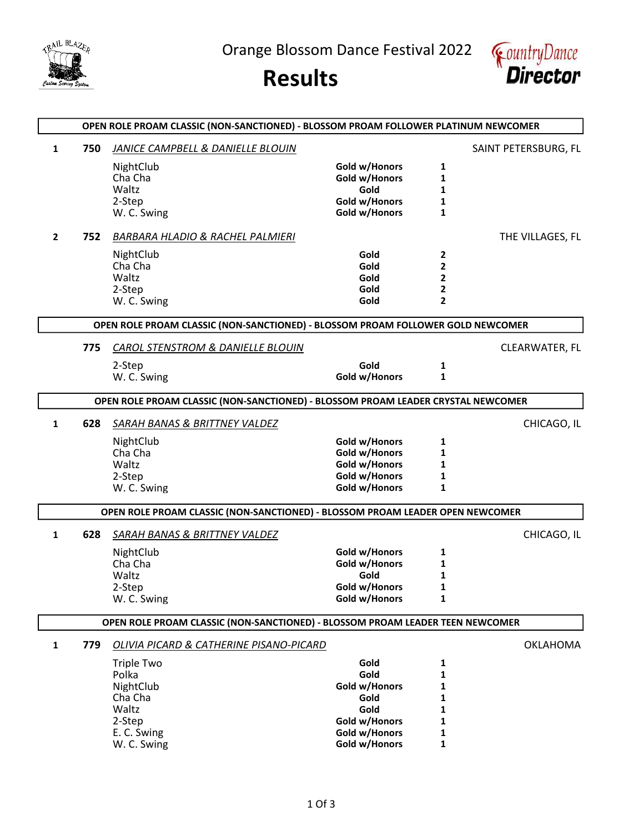

Orange Blossom Dance Festival 2022





|                |     | OPEN ROLE PROAM CLASSIC (NON-SANCTIONED) - BLOSSOM PROAM FOLLOWER PLATINUM NEWCOMER |               |                |                      |
|----------------|-----|-------------------------------------------------------------------------------------|---------------|----------------|----------------------|
| $\mathbf{1}$   | 750 | JANICE CAMPBELL & DANIELLE BLOUIN                                                   |               |                | SAINT PETERSBURG, FL |
|                |     | NightClub                                                                           | Gold w/Honors | 1              |                      |
|                |     | Cha Cha                                                                             | Gold w/Honors | 1              |                      |
|                |     | Waltz                                                                               | Gold          | 1              |                      |
|                |     | 2-Step                                                                              | Gold w/Honors | 1              |                      |
|                |     | W. C. Swing                                                                         | Gold w/Honors | 1              |                      |
| $\overline{2}$ | 752 | BARBARA HLADIO & RACHEL PALMIERI                                                    |               |                | THE VILLAGES, FL     |
|                |     | NightClub                                                                           | Gold          | 2              |                      |
|                |     | Cha Cha                                                                             | Gold          | 2              |                      |
|                |     | Waltz                                                                               | Gold          | 2              |                      |
|                |     | 2-Step                                                                              | Gold          | 2              |                      |
|                |     | W. C. Swing                                                                         | Gold          | $\overline{2}$ |                      |
|                |     | OPEN ROLE PROAM CLASSIC (NON-SANCTIONED) - BLOSSOM PROAM FOLLOWER GOLD NEWCOMER     |               |                |                      |
|                | 775 | <b>CAROL STENSTROM &amp; DANIELLE BLOUIN</b>                                        |               |                | CLEARWATER, FL       |
|                |     | 2-Step                                                                              | Gold          | 1              |                      |
|                |     | W. C. Swing                                                                         | Gold w/Honors | $\mathbf{1}$   |                      |
|                |     | OPEN ROLE PROAM CLASSIC (NON-SANCTIONED) - BLOSSOM PROAM LEADER CRYSTAL NEWCOMER    |               |                |                      |
|                |     |                                                                                     |               |                |                      |
| 1              | 628 | SARAH BANAS & BRITTNEY VALDEZ                                                       |               |                | CHICAGO, IL          |
|                |     | NightClub                                                                           | Gold w/Honors | 1              |                      |
|                |     | Cha Cha                                                                             | Gold w/Honors | 1              |                      |
|                |     | Waltz                                                                               | Gold w/Honors | 1              |                      |
|                |     | 2-Step                                                                              | Gold w/Honors | 1              |                      |
|                |     | W. C. Swing                                                                         | Gold w/Honors | 1              |                      |
|                |     | OPEN ROLE PROAM CLASSIC (NON-SANCTIONED) - BLOSSOM PROAM LEADER OPEN NEWCOMER       |               |                |                      |
| 1              | 628 | SARAH BANAS & BRITTNEY VALDEZ                                                       |               |                | CHICAGO, IL          |
|                |     | NightClub                                                                           | Gold w/Honors | 1              |                      |
|                |     | Cha Cha                                                                             | Gold w/Honors | 1              |                      |
|                |     | Waltz                                                                               | Gold          | 1              |                      |
|                |     | 2-Step                                                                              | Gold w/Honors | 1              |                      |
|                |     | W. C. Swing                                                                         | Gold w/Honors | 1              |                      |
|                |     | OPEN ROLE PROAM CLASSIC (NON-SANCTIONED) - BLOSSOM PROAM LEADER TEEN NEWCOMER       |               |                |                      |
| 1              | 779 | OLIVIA PICARD & CATHERINE PISANO-PICARD                                             |               |                | OKLAHOMA             |
|                |     | Triple Two                                                                          | Gold          | 1              |                      |
|                |     | Polka                                                                               | Gold          | 1              |                      |
|                |     | NightClub                                                                           | Gold w/Honors | 1              |                      |
|                |     | Cha Cha                                                                             | Gold          | 1              |                      |
|                |     | Waltz                                                                               | Gold          | 1              |                      |
|                |     | 2-Step                                                                              | Gold w/Honors | 1              |                      |
|                |     | E. C. Swing                                                                         | Gold w/Honors | 1              |                      |
|                |     | W. C. Swing                                                                         | Gold w/Honors | 1              |                      |
|                |     |                                                                                     |               |                |                      |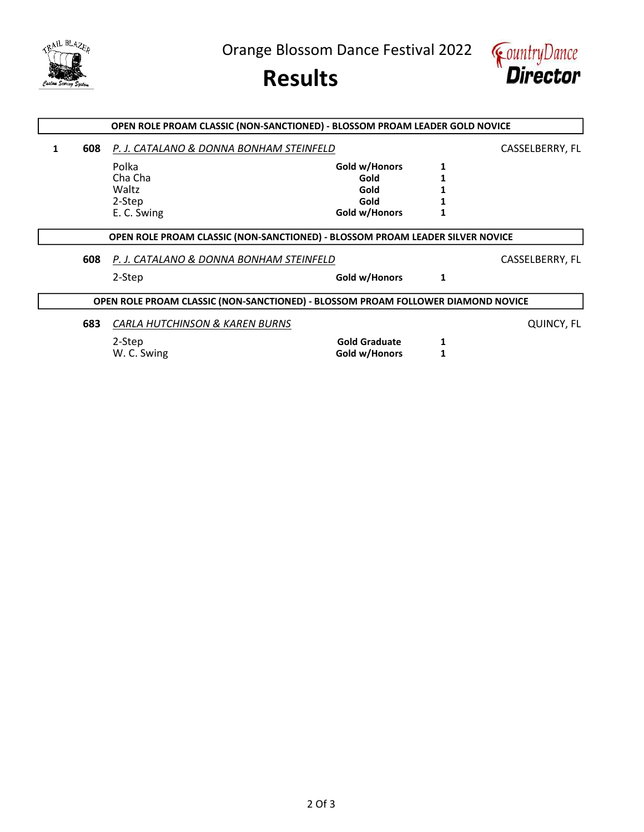

Orange Blossom Dance Festival 2022





|   |     | OPEN ROLE PROAM CLASSIC (NON-SANCTIONED) - BLOSSOM PROAM LEADER GOLD NOVICE      |                      |   |                 |
|---|-----|----------------------------------------------------------------------------------|----------------------|---|-----------------|
| 1 | 608 | P. J. CATALANO & DONNA BONHAM STEINFELD                                          |                      |   | CASSELBERRY, FL |
|   |     | Polka                                                                            | Gold w/Honors        |   |                 |
|   |     | Cha Cha                                                                          | Gold                 |   |                 |
|   |     | Waltz                                                                            | Gold                 |   |                 |
|   |     | 2-Step                                                                           | Gold                 |   |                 |
|   |     | E. C. Swing                                                                      | Gold w/Honors        |   |                 |
|   |     | OPEN ROLE PROAM CLASSIC (NON-SANCTIONED) - BLOSSOM PROAM LEADER SILVER NOVICE    |                      |   |                 |
|   | 608 | P. J. CATALANO & DONNA BONHAM STEINFELD                                          |                      |   | CASSELBERRY, FL |
|   |     | 2-Step                                                                           | Gold w/Honors        | 1 |                 |
|   |     | OPEN ROLE PROAM CLASSIC (NON-SANCTIONED) - BLOSSOM PROAM FOLLOWER DIAMOND NOVICE |                      |   |                 |
|   | 683 | CARLA HUTCHINSON & KAREN BURNS                                                   |                      |   | QUINCY, FL      |
|   |     | 2-Step                                                                           | <b>Gold Graduate</b> | 1 |                 |
|   |     | W. C. Swing                                                                      | Gold w/Honors        |   |                 |
|   |     |                                                                                  |                      |   |                 |